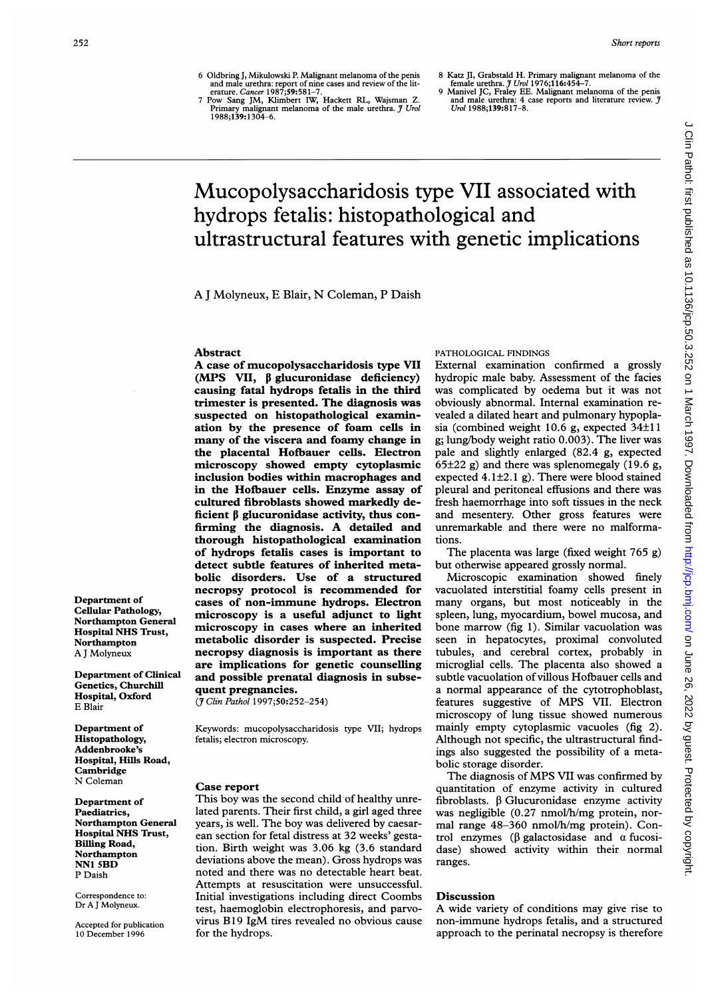6 Oldbring J, Mikulowski P. Malignant melanoma of the penis<br>and male urethra: report of nine cases and review of the lit-<br>erature. Cancer 1987;59:581-7.<br>7 Pow Sang JM, Klimbert IW, Hackett RL, Wajsman Z.

Primary malignant melanoma of the male urethra. J Urol<br>1988;**139:**1304–6.

- 
- 8 Katz JI, Grabstald H. Primary malignant melanoma of the<br>female urethra.  $\tilde{y}$  Urol 1976;116:454-7.<br>9 Manivel JC, Fraley EE. Malignant melanoma of the penis<br>and male urethra: 4 case reports and literature review.  $\tilde$

# Mucopolysaccharidosis type VII associated with hydrops fetalis: histopathological and ultrastructural features with genetic implications

A <sup>J</sup> Molyneux, E Blair, N Coleman, P Daish

#### Abstract

A case of mucopolysaccharidosis type VII (MPS VII,  $\beta$  glucuronidase deficiency) causing fatal hydrops fetalis in the third trimester is presented. The diagnosis was suspected on histopathological examination by the presence of foam cells in many of the viscera and foamy change in the placental Hofbauer cells. Electron microscopy showed empty cytoplasmic inclusion bodies within macrophages and in the Hofbauer cells. Enzyme assay of cultured fibroblasts showed markedly deficient  $\beta$  glucuronidase activity, thus confirming the diagnosis. A detailed and thorough histopathological examination of hydrops fetalis cases is important to detect subtle features of inherited metabolic disorders. Use of a structured necropsy protocol is recommended for cases of non-immune hydrops. Electron microscopy is a useful adjunct to light microscopy in cases where an inherited metabolic disorder is suspected. Precise necropsy diagnosis is important as there are implications for genetic counselling and possible prenatal diagnosis in subsequent pregnancies.

(7 Clin Pathol 1997;50:252-254)

Keywords: mucopolysaccharidosis type VII; hydrops fetalis; electron microscopy.

#### Case report

This boy was the second child of healthy unrelated parents. Their first child, a girl aged three years, is well. The boy was delivered by caesarean section for fetal distress at 32 weeks' gestation. Birth weight was 3.06 kg (3.6 standard deviations above the mean). Gross hydrops was noted and there was no detectable heart beat. Attempts at resuscitation were unsuccessful. Initial investigations including direct Coombs test, haemoglobin electrophoresis, and parvovirus B19 IgM tires revealed no obvious cause for the hydrops.

### PATHOLOGICAL FINDINGS

External examination confirmed a grossly hydropic male baby. Assessment of the facies was complicated by oedema but it was not obviously abnormal. Internal examination revealed a dilated heart and pulmonary hypoplasia (combined weight 10.6 g, expected 34±11 g; lung/body weight ratio 0.003). The liver was pale and slightly enlarged (82.4 g, expected  $65\pm22$  g) and there was splenomegaly (19.6 g, expected 4.1±2.1 g). There were blood stained pleural and peritoneal effusions and there was fresh haemorrhage into soft tissues in the neck and mesentery. Other gross features were unremarkable and there were no malformations.

The placenta was large (fixed weight 765 g) but otherwise appeared grossly normal.

Microscopic examination showed finely vacuolated interstitial foamy cells present in many organs, but most noticeably in the spleen, lung, myocardium, bowel mucosa, and bone marrow (fig 1). Similar vacuolation was seen in hepatocytes, proximal convoluted tubules, and cerebral cortex, probably in microglial cells. The placenta also showed a subtle vacuolation of villous Hofbauer cells and a normal appearance of the cytotrophoblast, features suggestive of MPS VII. Electron microscopy of lung tissue showed numerous mainly empty cytoplasmic vacuoles (fig 2). Although not specific, the ultrastructural findings also suggested the possibility of a metabolic storage disorder.

The diagnosis of MPS VII was confirmed by quantitation of enzyme activity in cultured fibroblasts.  $\beta$  Glucuronidase enzyme activity was negligible (0.27 nmol/h/mg protein, normal range 48-360 nmol/h/mg protein). Control enzymes ( $\beta$  galactosidase and  $\alpha$  fucosidase) showed activity within their normal ranges.

#### Discussion

A wide variety of conditions may give rise to non-immune hydrops fetalis, and a structured approach to the perinatal necropsy is therefore

Department of Cellular Pathology, Northampton General Hospital NHS Trust, Northampton A <sup>J</sup> Molyneux

Departnent of Clinical Genetics, Churchill Hospital, Oxford E Blair

Department of Histopathology, Addenbrooke's Hospital, Hills Road, Cambridge N Coleman

Department of Paediatrics, Northampton General Hospital NHS Trust, Billing Road, Northampton NNI 5BD P Daish

Correspondence to: Dr A J Molyneux

Accepted for publication 10 December 1996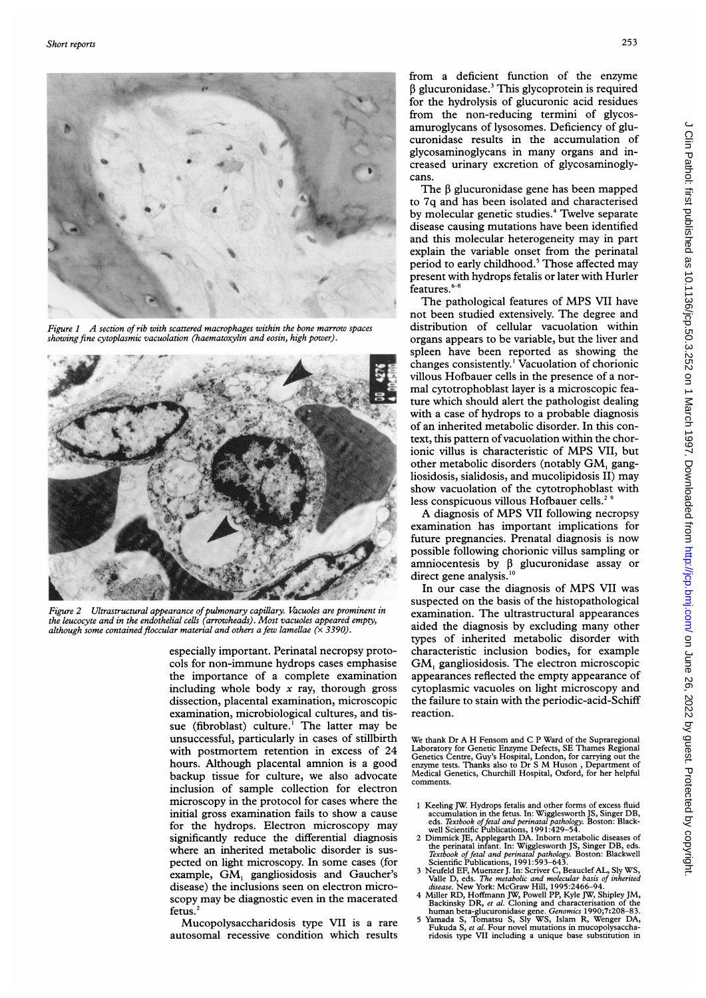

Figure  $1$  A section of rib with scattered macrophages within the bone marrow spaces showing fine cytoplasmic vacuolation (haematoxylin and eosin, high power).



Figure 2 Ultrastructural appearance of pulmonary capillary. Vacuoles are prominent in the leucocyte and in the endothelial cells (arrowheads). Most vacuoles appeared empty, although some contained floccular material and others a few lamellae  $(\times 3390)$ .

especially important. Perinatal necro cols for non-immune hydrops cases emphasise the importance of a complete examination including whole body  $x$  ray, thorough gross dissection, placental examination, microscopic examination, microbiological cultures, and tis- reaction. sue (fibroblast) culture.<sup>1</sup> The latter may be unsuccessful, particularly in cases of stillbirth with postmortem retention in excess of 24 hours. Although placental amnion is a good backup tissue for culture, we also advocate inclusion of sample collection for electron microscopy in the protocol for cases where the initial gross examination fails to show a cause for the hydrops. Electron microscopy may significantly reduce the differential diagnosis where an inherited metabolic disorder is suspected on light microscopy. In some cases (for example, GM, gangliosidosis and Gaucher's disease) the inclusions seen on electron microscopy may be diagnostic even in the: macerated fetus.'

Mucopolysaccharidosis type VII is a rare autosomal recessive condition which results from a deficient function of the enzyme  $\beta$  glucuronidase.<sup>3</sup> This glycoprotein is required for the hydrolysis of glucuronic acid residues from the non-reducing termini of glycosamuroglycans of lysosomes. Deficiency of glucuronidase results in the accumulation of glycosaminoglycans in many organs and in creased urinary excretion of glycosaminoglycans.

The  $\beta$  glucuronidase gene has been mapped to 7q and has been isolated and characterised by molecular genetic studies.<sup>4</sup> Twelve separate disease causing mutations have been identified and this molecular heterogeneity may in part explain the variable onset from the perinatal period to early childhood.<sup>5</sup> Those affected may present with hydrops fetalis or later with Hurler features. $6-8$ 

The pathological features of MPS VII have not been studied extensively. The degree and distribution of cellular vacuolation within organs appears to be variable, but the liver and spleen have been reported as showing the changes consistently.' Vacuolation of chorionic villous Hofbauer cells in the presence of a normal cytotrophoblast layer is <sup>a</sup> microscopic feature which should alert the pathologist dealing with a case of hydrops to a probable diagnosis of an inherited metabolic disorder. In this context, this pattern of vacuolation within the chorionic villus is characteristic of MPS VII, but other metabolic disorders (notably GM, gangliosidosis, sialidosis, and mucolipidosis II) may show vacuolation of the cytotrophoblast with less conspicuous villous Hofbauer cells.<sup>2</sup>

A diagnosis of MPS VII following necropsy examination has important implications for future pregnancies. Prenatal diagnosis is now possible following chorionic villus sampling or future pregnancies. Prenatal diagnosis is now<br>possible following chorionic villus sampling or<br>amniocentesis by  $\beta$  glucuronidase assay or<br>direct gene analysis.<sup>10</sup>

In our case the diagnosis of MPS VII was suspected on the basis of the histopathological examination. The ultrastructural appearances aided the diagnosis by excluding many other types of inherited metabolic disorder with characteristic inclusion bodies, for example  $GM<sub>1</sub>$  gangliosidosis. The electron microscopic appearances reflected the empty appearance of cytoplasmic vacuoles on light microscopy and the failure to stain with the periodic-acid-Schiff

We thank Dr A H Fensom and C P Ward of the Supraregional Laboratory for Genetic Enzyme Defects, SE Thames Regional<br>Genetics Centre, Guy's Hospital, London, for carrying out the<br>enzyme tests. Thanks also to Dr S M Huson , Department of<br>Medical Genetics, Churchill Hospital, Oxford comments.

- 
- 1 Keeling JW. Hydrops fetalis and other forms of excess fluid<br>accumulation in the fetus. In: Wigglesworth JS, Singer DB,<br>eds. *Textbook of fetal and perinatal pathology*. Boston: Black-<br>well Scientific Publications, 1991:
- 
- 
-